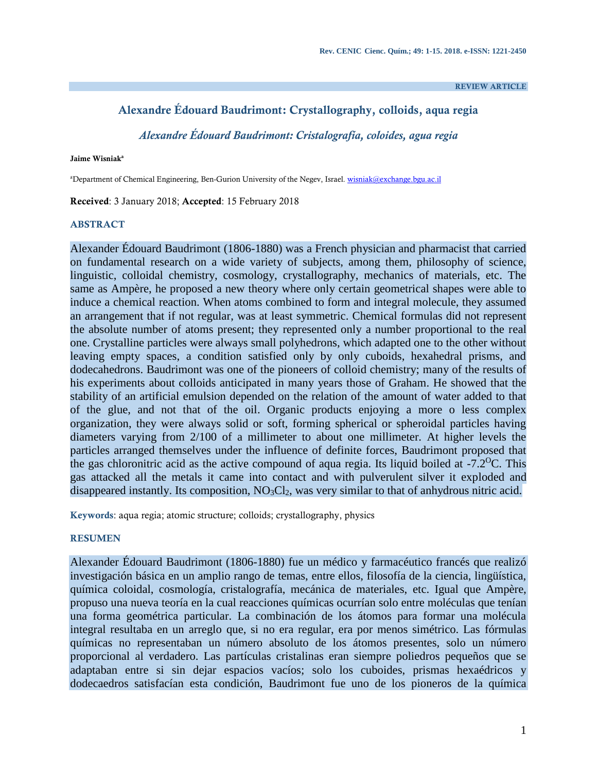#### **REVIEW ARTICLE**

## **Alexandre Édouard Baudrimont: Crystallography, colloids, aqua regia**

*Alexandre Édouard Baudrimont: Cristalografía, coloides, agua regia*

**Jaime Wisniak<sup>a</sup>**

aDepartment of Chemical Engineering, Ben-Gurion University of the Negev, Israel[. wisniak@exchange.bgu.ac.il](mailto:wisniak@bgu.ac.il)

**Received**: 3 January 2018; **Accepted**: 15 February 2018

#### **ABSTRACT**

Alexander Édouard Baudrimont (1806-1880) was a French physician and pharmacist that carried on fundamental research on a wide variety of subjects, among them, philosophy of science, linguistic, colloidal chemistry, cosmology, crystallography, mechanics of materials, etc. The same as Ampère, he proposed a new theory where only certain geometrical shapes were able to induce a chemical reaction. When atoms combined to form and integral molecule, they assumed an arrangement that if not regular, was at least symmetric. Chemical formulas did not represent the absolute number of atoms present; they represented only a number proportional to the real one. Crystalline particles were always small polyhedrons, which adapted one to the other without leaving empty spaces, a condition satisfied only by only cuboids, hexahedral prisms, and dodecahedrons. Baudrimont was one of the pioneers of colloid chemistry; many of the results of his experiments about colloids anticipated in many years those of Graham. He showed that the stability of an artificial emulsion depended on the relation of the amount of water added to that of the glue, and not that of the oil. Organic products enjoying a more o less complex organization, they were always solid or soft, forming spherical or spheroidal particles having diameters varying from 2/100 of a millimeter to about one millimeter. At higher levels the particles arranged themselves under the influence of definite forces, Baudrimont proposed that the gas chloronitric acid as the active compound of aqua regia. Its liquid boiled at  $-7.2$ <sup>O</sup>C. This gas attacked all the metals it came into contact and with pulverulent silver it exploded and disappeared instantly. Its composition, NO<sub>3</sub>Cl<sub>2</sub>, was very similar to that of anhydrous nitric acid.

**Keywords**: aqua regia; atomic structure; colloids; crystallography, physics

#### **RESUMEN**

Alexander Édouard Baudrimont (1806-1880) fue un médico y farmacéutico francés que realizó investigación básica en un amplio rango de temas, entre ellos, filosofía de la ciencia, lingüística, química coloidal, cosmología, cristalografía, mecánica de materiales, etc. Igual que Ampère, propuso una nueva teoría en la cual reacciones químicas ocurrían solo entre moléculas que tenían una forma geométrica particular. La combinación de los átomos para formar una molécula integral resultaba en un arreglo que, si no era regular, era por menos simétrico. Las fórmulas químicas no representaban un número absoluto de los átomos presentes, solo un número proporcional al verdadero. Las partículas cristalinas eran siempre poliedros pequeños que se adaptaban entre si sin dejar espacios vacíos; solo los cuboides, prismas hexaédricos y dodecaedros satisfacían esta condición, Baudrimont fue uno de los pioneros de la química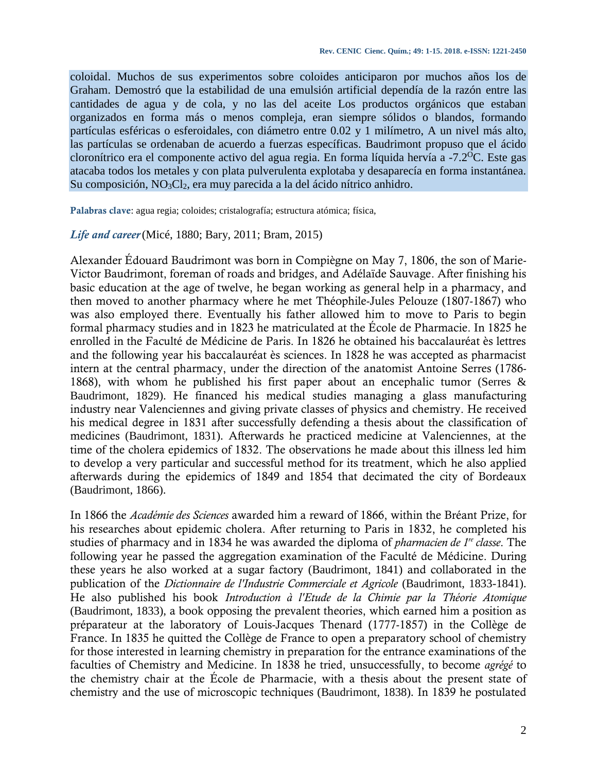coloidal. Muchos de sus experimentos sobre coloides anticiparon por muchos años los de Graham. Demostró que la estabilidad de una emulsión artificial dependía de la razón entre las cantidades de agua y de cola, y no las del aceite Los productos orgánicos que estaban organizados en forma más o menos compleja, eran siempre sólidos o blandos, formando partículas esféricas o esferoidales, con diámetro entre 0.02 y 1 milímetro, A un nivel más alto, las partículas se ordenaban de acuerdo a fuerzas específicas. Baudrimont propuso que el ácido cloronítrico era el componente activo del agua regia. En forma líquida hervía a  $-7.2$ <sup>o</sup>C. Este gas atacaba todos los metales y con plata pulverulenta explotaba y desaparecía en forma instantánea. Su composición, NO<sub>3</sub>Cl<sub>2</sub>, era muy parecida a la del ácido nítrico anhidro.

**Palabras clave**: agua regia; coloides; cristalografía; estructura atómica; física,

#### *Life and career*(Micé, 1880; Bary, 2011; Bram, 2015)

Alexander Édouard Baudrimont was born in Compiègne on May 7, 1806, the son of Marie-Victor Baudrimont, foreman of roads and bridges, and Adélaïde Sauvage. After finishing his basic education at the age of twelve, he began working as general help in a pharmacy, and then moved to another pharmacy where he met Théophile-Jules Pelouze (1807-1867) who was also employed there. Eventually his father allowed him to move to Paris to begin formal pharmacy studies and in 1823 he matriculated at the École de Pharmacie. In 1825 he enrolled in the Faculté de Médicine de Paris. In 1826 he obtained his baccalauréat ès lettres and the following year his baccalauréat ès sciences. In 1828 he was accepted as pharmacist intern at the central pharmacy, under the direction of the anatomist Antoine Serres (1786- 1868), with whom he published his first paper about an encephalic tumor (Serres & Baudrimont, 1829). He financed his medical studies managing a glass manufacturing industry near Valenciennes and giving private classes of physics and chemistry. He received his medical degree in 1831 after successfully defending a thesis about the classification of medicines (Baudrimont, 1831). Afterwards he practiced medicine at Valenciennes, at the time of the cholera epidemics of 1832. The observations he made about this illness led him to develop a very particular and successful method for its treatment, which he also applied afterwards during the epidemics of 1849 and 1854 that decimated the city of Bordeaux (Baudrimont, 1866).

In 1866 the *Académie des Sciences* awarded him a reward of 1866, within the Bréant Prize, for his researches about epidemic cholera. After returning to Paris in 1832, he completed his studies of pharmacy and in 1834 he was awarded the diploma of *pharmacien de 1re classe*. The following year he passed the aggregation examination of the Faculté de Médicine. During these years he also worked at a sugar factory (Baudrimont, 1841) and collaborated in the publication of the *Dictionnaire de l'Industrie Commerciale et Agricole* (Baudrimont, 1833-1841). He also published his book *Introduction à l'Etude de la Chimie par la Théorie Atomique* (Baudrimont, 1833), a book opposing the prevalent theories, which earned him a position as préparateur at the laboratory of Louis-Jacques Thenard (1777-1857) in the Collège de France. In 1835 he quitted the Collège de France to open a preparatory school of chemistry for those interested in learning chemistry in preparation for the entrance examinations of the faculties of Chemistry and Medicine. In 1838 he tried, unsuccessfully, to become *agrégé* to the chemistry chair at the École de Pharmacie, with a thesis about the present state of chemistry and the use of microscopic techniques (Baudrimont, 1838). In 1839 he postulated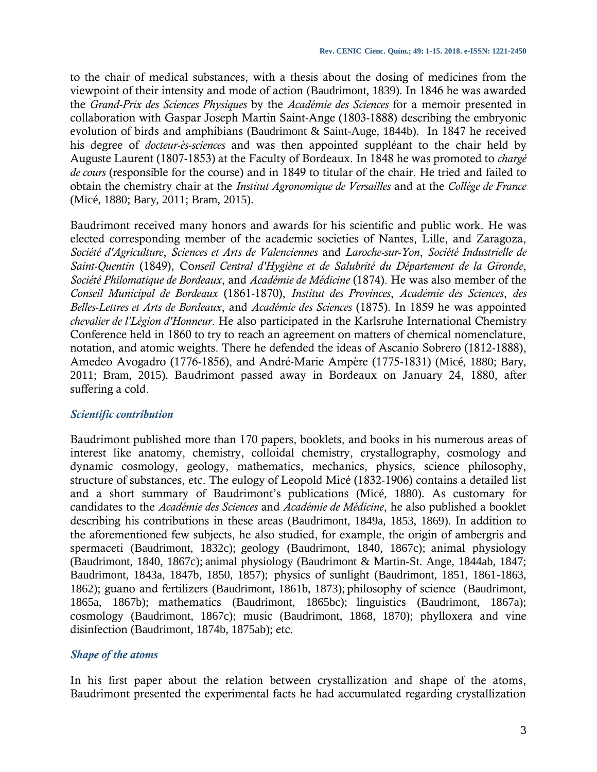to the chair of medical substances, with a thesis about the dosing of medicines from the viewpoint of their intensity and mode of action (Baudrimont, 1839). In 1846 he was awarded the *Grand-Prix des Sciences Physiques* by the *Académie des Sciences* for a memoir presented in collaboration with Gaspar Joseph Martin Saint-Ange (1803-1888) describing the embryonic evolution of birds and amphibians (Baudrimont & Saint-Auge, 1844b). In 1847 he received his degree of *docteur-ès-sciences* and was then appointed suppléant to the chair held by Auguste Laurent (1807-1853) at the Faculty of Bordeaux. In 1848 he was promoted to *chargé de cours* (responsible for the course) and in 1849 to titular of the chair. He tried and failed to obtain the chemistry chair at the *Institut Agronomique de Versailles* and at the *Collège de France* (Micé, 1880; Bary, 2011; Bram, 2015).

Baudrimont received many honors and awards for his scientific and public work. He was elected corresponding member of the academic societies of Nantes, Lille, and Zaragoza, *Société d'Agriculture*, *Sciences et Arts de Valenciennes* and *Laroche-sur-Yon*, *Société Industrielle de Saint-Quentin* (1849), Co*nseil Central d'Hygiène et de Salubrité du Département de la Gironde*, *Société Philomatique de Bordeaux*, and *Académie de Médicine* (1874). He was also member of the *Conseil Municipal de Bordeaux* (1861-1870), *Institut des Provinces*, *Académie des Sciences*, *des Belles-Lettres et Arts de Bordeaux*, and *Académie des Sciences* (1875). In 1859 he was appointed *chevalier de l'Légion d'Honneur*. He also participated in the Karlsruhe International Chemistry Conference held in 1860 to try to reach an agreement on matters of chemical nomenclature, notation, and atomic weights. There he defended the ideas of Ascanio Sobrero (1812-1888), Amedeo Avogadro (1776-1856), and André-Marie Ampère (1775-1831) (Micé, 1880; Bary, 2011; Bram, 2015). Baudrimont passed away in Bordeaux on January 24, 1880, after suffering a cold.

## *Scientific contribution*

Baudrimont published more than 170 papers, booklets, and books in his numerous areas of interest like anatomy, chemistry, colloidal chemistry, crystallography, cosmology and dynamic cosmology, geology, mathematics, mechanics, physics, science philosophy, structure of substances, etc. The eulogy of Leopold Micé (1832-1906) contains a detailed list and a short summary of Baudrimont's publications (Micé, 1880). As customary for candidates to the *Académie des Sciences* and *Académie de Médicine*, he also published a booklet describing his contributions in these areas (Baudrimont, 1849a, 1853, 1869). In addition to the aforementioned few subjects, he also studied, for example, the origin of ambergris and spermaceti (Baudrimont, 1832c); geology (Baudrimont, 1840, 1867c); animal physiology (Baudrimont, 1840, 1867c); animal physiology (Baudrimont & Martin-St. Ange, 1844ab, 1847; Baudrimont, 1843a, 1847b, 1850, 1857); physics of sunlight (Baudrimont, 1851, 1861-1863, 1862); guano and fertilizers (Baudrimont, 1861b, 1873); philosophy of science (Baudrimont, 1865a, 1867b); mathematics (Baudrimont, 1865bc); linguistics (Baudrimont, 1867a); cosmology (Baudrimont, 1867c); music (Baudrimont, 1868, 1870); phylloxera and vine disinfection (Baudrimont, 1874b, 1875ab); etc.

## *Shape of the atoms*

In his first paper about the relation between crystallization and shape of the atoms, Baudrimont presented the experimental facts he had accumulated regarding crystallization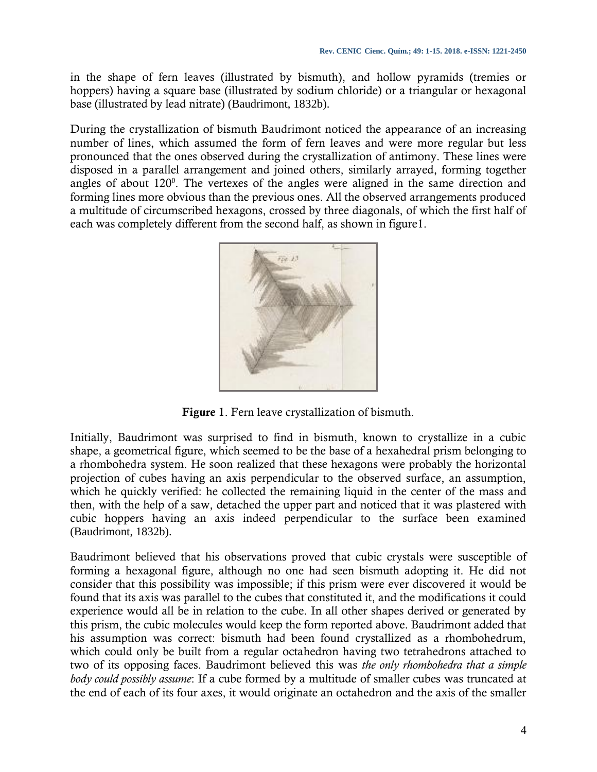in the shape of fern leaves (illustrated by bismuth), and hollow pyramids (tremies or hoppers) having a square base (illustrated by sodium chloride) or a triangular or hexagonal base (illustrated by lead nitrate) (Baudrimont, 1832b).

During the crystallization of bismuth Baudrimont noticed the appearance of an increasing number of lines, which assumed the form of fern leaves and were more regular but less pronounced that the ones observed during the crystallization of antimony. These lines were disposed in a parallel arrangement and joined others, similarly arrayed, forming together angles of about  $120^{\circ}$ . The vertexes of the angles were aligned in the same direction and forming lines more obvious than the previous ones. All the observed arrangements produced a multitude of circumscribed hexagons, crossed by three diagonals, of which the first half of each was completely different from the second half, as shown in figure1.



**Figure 1**. Fern leave crystallization of bismuth.

Initially, Baudrimont was surprised to find in bismuth, known to crystallize in a cubic shape, a geometrical figure, which seemed to be the base of a hexahedral prism belonging to a rhombohedra system. He soon realized that these hexagons were probably the horizontal projection of cubes having an axis perpendicular to the observed surface, an assumption, which he quickly verified: he collected the remaining liquid in the center of the mass and then, with the help of a saw, detached the upper part and noticed that it was plastered with cubic hoppers having an axis indeed perpendicular to the surface been examined (Baudrimont, 1832b).

Baudrimont believed that his observations proved that cubic crystals were susceptible of forming a hexagonal figure, although no one had seen bismuth adopting it. He did not consider that this possibility was impossible; if this prism were ever discovered it would be found that its axis was parallel to the cubes that constituted it, and the modifications it could experience would all be in relation to the cube. In all other shapes derived or generated by this prism, the cubic molecules would keep the form reported above. Baudrimont added that his assumption was correct: bismuth had been found crystallized as a rhombohedrum, which could only be built from a regular octahedron having two tetrahedrons attached to two of its opposing faces. Baudrimont believed this was *the only rhombohedra that a simple body could possibly assume*: If a cube formed by a multitude of smaller cubes was truncated at the end of each of its four axes, it would originate an octahedron and the axis of the smaller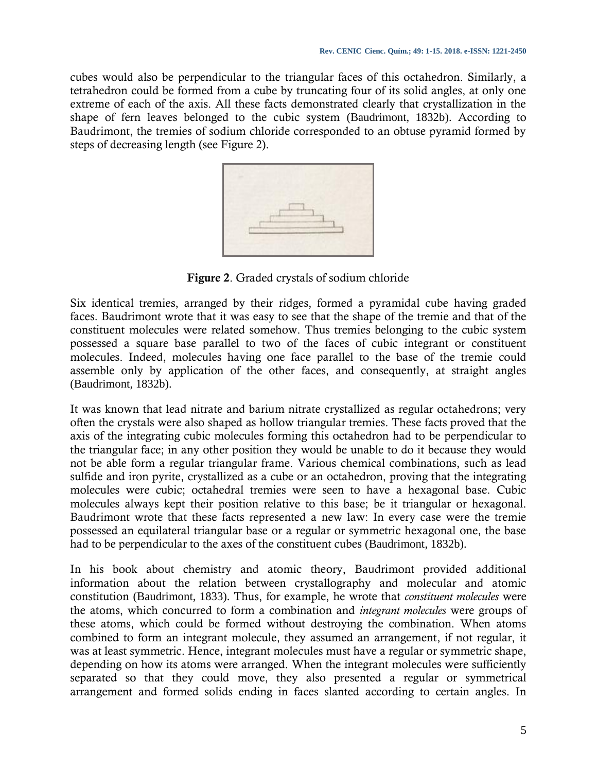cubes would also be perpendicular to the triangular faces of this octahedron. Similarly, a tetrahedron could be formed from a cube by truncating four of its solid angles, at only one extreme of each of the axis. All these facts demonstrated clearly that crystallization in the shape of fern leaves belonged to the cubic system (Baudrimont, 1832b). According to Baudrimont, the tremies of sodium chloride corresponded to an obtuse pyramid formed by steps of decreasing length (see Figure 2).



**Figure 2**. Graded crystals of sodium chloride

Six identical tremies, arranged by their ridges, formed a pyramidal cube having graded faces. Baudrimont wrote that it was easy to see that the shape of the tremie and that of the constituent molecules were related somehow. Thus tremies belonging to the cubic system possessed a square base parallel to two of the faces of cubic integrant or constituent molecules. Indeed, molecules having one face parallel to the base of the tremie could assemble only by application of the other faces, and consequently, at straight angles (Baudrimont, 1832b).

It was known that lead nitrate and barium nitrate crystallized as regular octahedrons; very often the crystals were also shaped as hollow triangular tremies. These facts proved that the axis of the integrating cubic molecules forming this octahedron had to be perpendicular to the triangular face; in any other position they would be unable to do it because they would not be able form a regular triangular frame. Various chemical combinations, such as lead sulfide and iron pyrite, crystallized as a cube or an octahedron, proving that the integrating molecules were cubic; octahedral tremies were seen to have a hexagonal base. Cubic molecules always kept their position relative to this base; be it triangular or hexagonal. Baudrimont wrote that these facts represented a new law: In every case were the tremie possessed an equilateral triangular base or a regular or symmetric hexagonal one, the base had to be perpendicular to the axes of the constituent cubes (Baudrimont, 1832b).

In his book about chemistry and atomic theory, Baudrimont provided additional information about the relation between crystallography and molecular and atomic constitution (Baudrimont, 1833). Thus, for example, he wrote that *constituent molecules* were the atoms, which concurred to form a combination and *integrant molecules* were groups of these atoms, which could be formed without destroying the combination. When atoms combined to form an integrant molecule, they assumed an arrangement, if not regular, it was at least symmetric. Hence, integrant molecules must have a regular or symmetric shape, depending on how its atoms were arranged. When the integrant molecules were sufficiently separated so that they could move, they also presented a regular or symmetrical arrangement and formed solids ending in faces slanted according to certain angles. In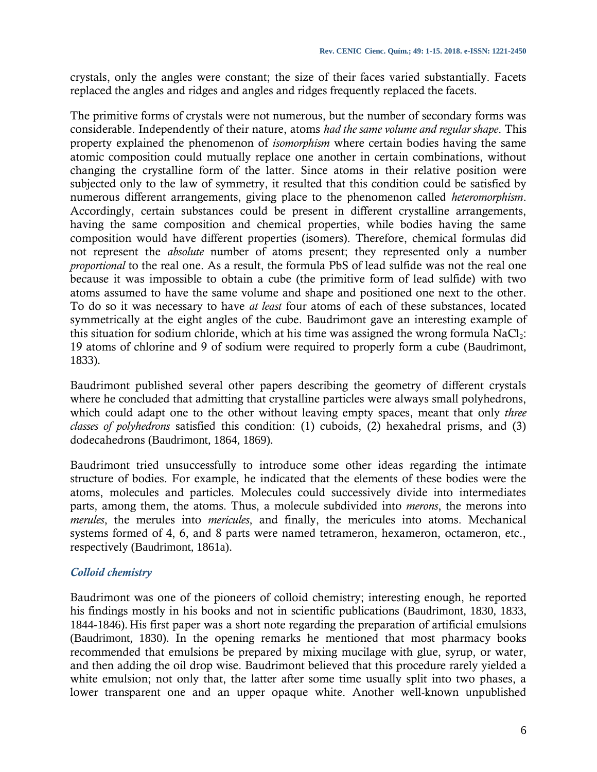crystals, only the angles were constant; the size of their faces varied substantially. Facets replaced the angles and ridges and angles and ridges frequently replaced the facets.

The primitive forms of crystals were not numerous, but the number of secondary forms was considerable. Independently of their nature, atoms *had the same volume and regular shape*. This property explained the phenomenon of *isomorphism* where certain bodies having the same atomic composition could mutually replace one another in certain combinations, without changing the crystalline form of the latter. Since atoms in their relative position were subjected only to the law of symmetry, it resulted that this condition could be satisfied by numerous different arrangements, giving place to the phenomenon called *heteromorphism*. Accordingly, certain substances could be present in different crystalline arrangements, having the same composition and chemical properties, while bodies having the same composition would have different properties (isomers). Therefore, chemical formulas did not represent the *absolute* number of atoms present; they represented only a number *proportional* to the real one. As a result, the formula PbS of lead sulfide was not the real one because it was impossible to obtain a cube (the primitive form of lead sulfide) with two atoms assumed to have the same volume and shape and positioned one next to the other. To do so it was necessary to have *at least* four atoms of each of these substances, located symmetrically at the eight angles of the cube. Baudrimont gave an interesting example of this situation for sodium chloride, which at his time was assigned the wrong formula  $NaCl<sub>2</sub>$ : 19 atoms of chlorine and 9 of sodium were required to properly form a cube (Baudrimont, 1833).

Baudrimont published several other papers describing the geometry of different crystals where he concluded that admitting that crystalline particles were always small polyhedrons, which could adapt one to the other without leaving empty spaces, meant that only *three classes of polyhedrons* satisfied this condition: (1) cuboids, (2) hexahedral prisms, and (3) dodecahedrons (Baudrimont, 1864, 1869).

Baudrimont tried unsuccessfully to introduce some other ideas regarding the intimate structure of bodies. For example, he indicated that the elements of these bodies were the atoms, molecules and particles. Molecules could successively divide into intermediates parts, among them, the atoms. Thus, a molecule subdivided into *merons*, the merons into *merules*, the merules into *mericules*, and finally, the mericules into atoms. Mechanical systems formed of 4, 6, and 8 parts were named tetrameron, hexameron, octameron, etc., respectively (Baudrimont, 1861a).

## *Colloid chemistry*

Baudrimont was one of the pioneers of colloid chemistry; interesting enough, he reported his findings mostly in his books and not in scientific publications (Baudrimont, 1830, 1833, 1844-1846). His first paper was a short note regarding the preparation of artificial emulsions (Baudrimont, 1830). In the opening remarks he mentioned that most pharmacy books recommended that emulsions be prepared by mixing mucilage with glue, syrup, or water, and then adding the oil drop wise. Baudrimont believed that this procedure rarely yielded a white emulsion; not only that, the latter after some time usually split into two phases, a lower transparent one and an upper opaque white. Another well-known unpublished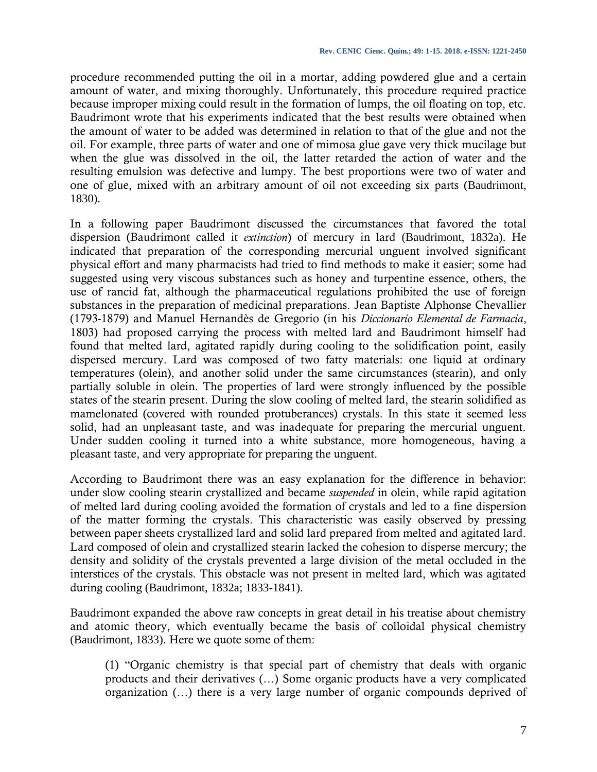procedure recommended putting the oil in a mortar, adding powdered glue and a certain amount of water, and mixing thoroughly. Unfortunately, this procedure required practice because improper mixing could result in the formation of lumps, the oil floating on top, etc. Baudrimont wrote that his experiments indicated that the best results were obtained when the amount of water to be added was determined in relation to that of the glue and not the oil. For example, three parts of water and one of mimosa glue gave very thick mucilage but when the glue was dissolved in the oil, the latter retarded the action of water and the resulting emulsion was defective and lumpy. The best proportions were two of water and one of glue, mixed with an arbitrary amount of oil not exceeding six parts (Baudrimont, 1830).

In a following paper Baudrimont discussed the circumstances that favored the total dispersion (Baudrimont called it *extinction*) of mercury in lard (Baudrimont, 1832a). He indicated that preparation of the corresponding mercurial unguent involved significant physical effort and many pharmacists had tried to find methods to make it easier; some had suggested using very viscous substances such as honey and turpentine essence, others, the use of rancid fat, although the pharmaceutical regulations prohibited the use of foreign substances in the preparation of medicinal preparations. Jean Baptiste Alphonse Chevallier (1793-1879) and Manuel Hernandès de Gregorio (in his *Diccionario Elemental de Farmacia*, 1803) had proposed carrying the process with melted lard and Baudrimont himself had found that melted lard, agitated rapidly during cooling to the solidification point, easily dispersed mercury. Lard was composed of two fatty materials: one liquid at ordinary temperatures (olein), and another solid under the same circumstances (stearin), and only partially soluble in olein. The properties of lard were strongly influenced by the possible states of the stearin present. During the slow cooling of melted lard, the stearin solidified as mamelonated (covered with rounded protuberances) crystals. In this state it seemed less solid, had an unpleasant taste, and was inadequate for preparing the mercurial unguent. Under sudden cooling it turned into a white substance, more homogeneous, having a pleasant taste, and very appropriate for preparing the unguent.

According to Baudrimont there was an easy explanation for the difference in behavior: under slow cooling stearin crystallized and became *suspended* in olein, while rapid agitation of melted lard during cooling avoided the formation of crystals and led to a fine dispersion of the matter forming the crystals. This characteristic was easily observed by pressing between paper sheets crystallized lard and solid lard prepared from melted and agitated lard. Lard composed of olein and crystallized stearin lacked the cohesion to disperse mercury; the density and solidity of the crystals prevented a large division of the metal occluded in the interstices of the crystals. This obstacle was not present in melted lard, which was agitated during cooling (Baudrimont, 1832a; 1833-1841).

Baudrimont expanded the above raw concepts in great detail in his treatise about chemistry and atomic theory, which eventually became the basis of colloidal physical chemistry (Baudrimont, 1833). Here we quote some of them:

(1) "Organic chemistry is that special part of chemistry that deals with organic products and their derivatives (…) Some organic products have a very complicated organization (…) there is a very large number of organic compounds deprived of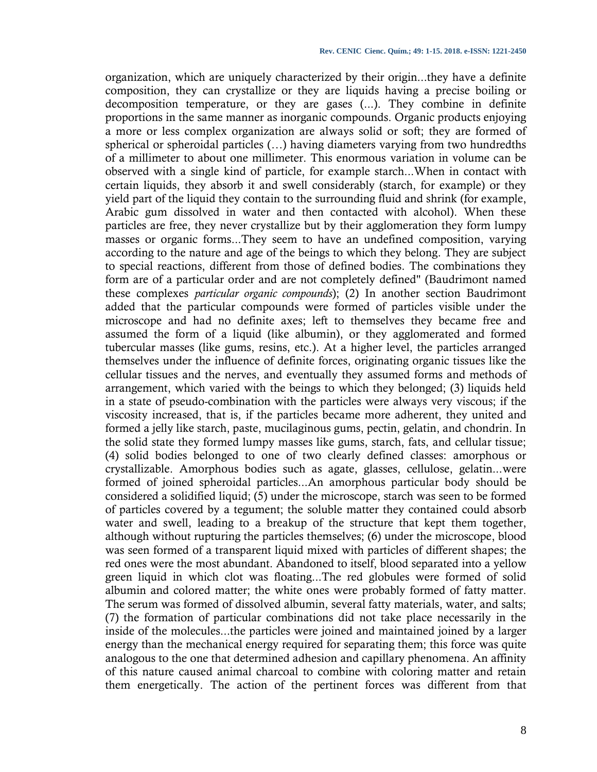organization, which are uniquely characterized by their origin...they have a definite composition, they can crystallize or they are liquids having a precise boiling or decomposition temperature, or they are gases (...). They combine in definite proportions in the same manner as inorganic compounds. Organic products enjoying a more or less complex organization are always solid or soft; they are formed of spherical or spheroidal particles (…) having diameters varying from two hundredths of a millimeter to about one millimeter. This enormous variation in volume can be observed with a single kind of particle, for example starch...When in contact with certain liquids, they absorb it and swell considerably (starch, for example) or they yield part of the liquid they contain to the surrounding fluid and shrink (for example, Arabic gum dissolved in water and then contacted with alcohol). When these particles are free, they never crystallize but by their agglomeration they form lumpy masses or organic forms...They seem to have an undefined composition, varying according to the nature and age of the beings to which they belong. They are subject to special reactions, different from those of defined bodies. The combinations they form are of a particular order and are not completely defined" (Baudrimont named these complexes *particular organic compounds*); (2) In another section Baudrimont added that the particular compounds were formed of particles visible under the microscope and had no definite axes; left to themselves they became free and assumed the form of a liquid (like albumin), or they agglomerated and formed tubercular masses (like gums, resins, etc.). At a higher level, the particles arranged themselves under the influence of definite forces, originating organic tissues like the cellular tissues and the nerves, and eventually they assumed forms and methods of arrangement, which varied with the beings to which they belonged; (3) liquids held in a state of pseudo-combination with the particles were always very viscous; if the viscosity increased, that is, if the particles became more adherent, they united and formed a jelly like starch, paste, mucilaginous gums, pectin, gelatin, and chondrin. In the solid state they formed lumpy masses like gums, starch, fats, and cellular tissue; (4) solid bodies belonged to one of two clearly defined classes: amorphous or crystallizable. Amorphous bodies such as agate, glasses, cellulose, gelatin...were formed of joined spheroidal particles...An amorphous particular body should be considered a solidified liquid; (5) under the microscope, starch was seen to be formed of particles covered by a tegument; the soluble matter they contained could absorb water and swell, leading to a breakup of the structure that kept them together, although without rupturing the particles themselves; (6) under the microscope, blood was seen formed of a transparent liquid mixed with particles of different shapes; the red ones were the most abundant. Abandoned to itself, blood separated into a yellow green liquid in which clot was floating...The red globules were formed of solid albumin and colored matter; the white ones were probably formed of fatty matter. The serum was formed of dissolved albumin, several fatty materials, water, and salts; (7) the formation of particular combinations did not take place necessarily in the inside of the molecules...the particles were joined and maintained joined by a larger energy than the mechanical energy required for separating them; this force was quite analogous to the one that determined adhesion and capillary phenomena. An affinity of this nature caused animal charcoal to combine with coloring matter and retain them energetically. The action of the pertinent forces was different from that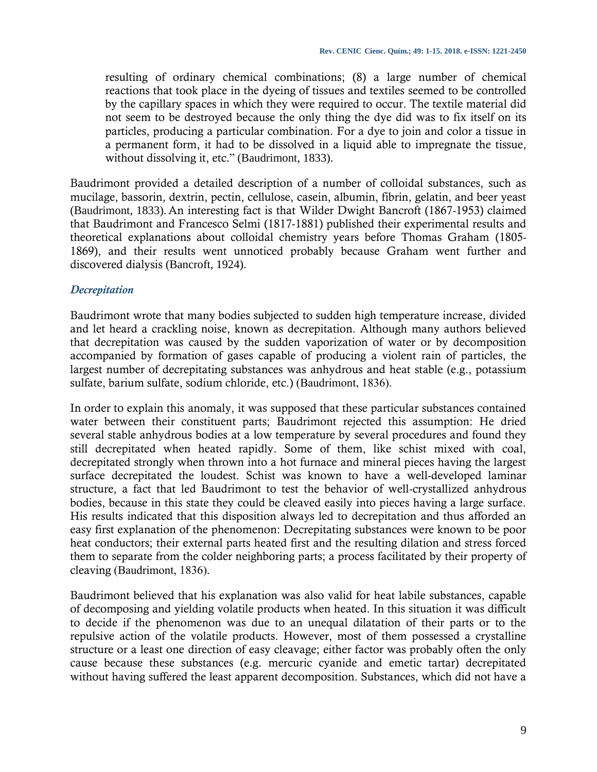resulting of ordinary chemical combinations; (8) a large number of chemical reactions that took place in the dyeing of tissues and textiles seemed to be controlled by the capillary spaces in which they were required to occur. The textile material did not seem to be destroyed because the only thing the dye did was to fix itself on its particles, producing a particular combination. For a dye to join and color a tissue in a permanent form, it had to be dissolved in a liquid able to impregnate the tissue, without dissolving it, etc." (Baudrimont, 1833).

Baudrimont provided a detailed description of a number of colloidal substances, such as mucilage, bassorin, dextrin, pectin, cellulose, casein, albumin, fibrin, gelatin, and beer yeast (Baudrimont, 1833). An interesting fact is that Wilder Dwight Bancroft (1867-1953) claimed that Baudrimont and Francesco Selmi (1817-1881) published their experimental results and theoretical explanations about colloidal chemistry years before Thomas Graham (1805- 1869), and their results went unnoticed probably because Graham went further and discovered dialysis (Bancroft, 1924).

## *Decrepitation*

Baudrimont wrote that many bodies subjected to sudden high temperature increase, divided and let heard a crackling noise, known as decrepitation. Although many authors believed that decrepitation was caused by the sudden vaporization of water or by decomposition accompanied by formation of gases capable of producing a violent rain of particles, the largest number of decrepitating substances was anhydrous and heat stable (e.g., potassium sulfate, barium sulfate, sodium chloride, etc.) (Baudrimont, 1836).

In order to explain this anomaly, it was supposed that these particular substances contained water between their constituent parts; Baudrimont rejected this assumption: He dried several stable anhydrous bodies at a low temperature by several procedures and found they still decrepitated when heated rapidly. Some of them, like schist mixed with coal, decrepitated strongly when thrown into a hot furnace and mineral pieces having the largest surface decrepitated the loudest. Schist was known to have a well-developed laminar structure, a fact that led Baudrimont to test the behavior of well-crystallized anhydrous bodies, because in this state they could be cleaved easily into pieces having a large surface. His results indicated that this disposition always led to decrepitation and thus afforded an easy first explanation of the phenomenon: Decrepitating substances were known to be poor heat conductors; their external parts heated first and the resulting dilation and stress forced them to separate from the colder neighboring parts; a process facilitated by their property of cleaving (Baudrimont, 1836).

Baudrimont believed that his explanation was also valid for heat labile substances, capable of decomposing and yielding volatile products when heated. In this situation it was difficult to decide if the phenomenon was due to an unequal dilatation of their parts or to the repulsive action of the volatile products. However, most of them possessed a crystalline structure or a least one direction of easy cleavage; either factor was probably often the only cause because these substances (e.g. mercuric cyanide and emetic tartar) decrepitated without having suffered the least apparent decomposition. Substances, which did not have a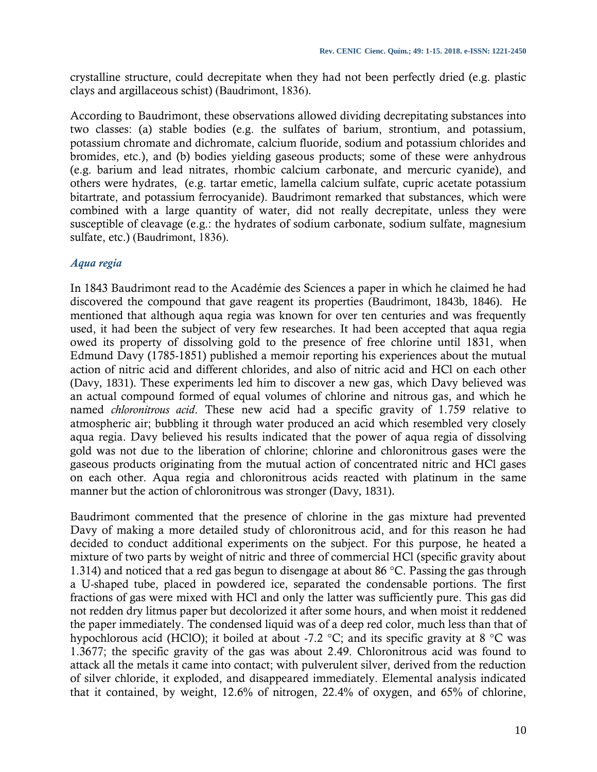crystalline structure, could decrepitate when they had not been perfectly dried (e.g. plastic clays and argillaceous schist) (Baudrimont, 1836).

According to Baudrimont, these observations allowed dividing decrepitating substances into two classes: (a) stable bodies (e.g. the sulfates of barium, strontium, and potassium, potassium chromate and dichromate, calcium fluoride, sodium and potassium chlorides and bromides, etc.), and (b) bodies yielding gaseous products; some of these were anhydrous (e.g. barium and lead nitrates, rhombic calcium carbonate, and mercuric cyanide), and others were hydrates, (e.g. tartar emetic, lamella calcium sulfate, cupric acetate potassium bitartrate, and potassium ferrocyanide). Baudrimont remarked that substances, which were combined with a large quantity of water, did not really decrepitate, unless they were susceptible of cleavage (e.g.: the hydrates of sodium carbonate, sodium sulfate, magnesium sulfate, etc.) (Baudrimont, 1836).

# *Aqua regia*

In 1843 Baudrimont read to the Académie des Sciences a paper in which he claimed he had discovered the compound that gave reagent its properties (Baudrimont, 1843b, 1846). He mentioned that although aqua regia was known for over ten centuries and was frequently used, it had been the subject of very few researches. It had been accepted that aqua regia owed its property of dissolving gold to the presence of free chlorine until 1831, when Edmund Davy (1785-1851) published a memoir reporting his experiences about the mutual action of nitric acid and different chlorides, and also of nitric acid and HCl on each other (Davy, 1831). These experiments led him to discover a new gas, which Davy believed was an actual compound formed of equal volumes of chlorine and nitrous gas, and which he named *chloronitrous acid*. These new acid had a specific gravity of 1.759 relative to atmospheric air; bubbling it through water produced an acid which resembled very closely aqua regia. Davy believed his results indicated that the power of aqua regia of dissolving gold was not due to the liberation of chlorine; chlorine and chloronitrous gases were the gaseous products originating from the mutual action of concentrated nitric and HCl gases on each other. Aqua regia and chloronitrous acids reacted with platinum in the same manner but the action of chloronitrous was stronger (Davy, 1831).

Baudrimont commented that the presence of chlorine in the gas mixture had prevented Davy of making a more detailed study of chloronitrous acid, and for this reason he had decided to conduct additional experiments on the subject. For this purpose, he heated a mixture of two parts by weight of nitric and three of commercial HCl (specific gravity about 1.314) and noticed that a red gas begun to disengage at about 86 °C. Passing the gas through a U-shaped tube, placed in powdered ice, separated the condensable portions. The first fractions of gas were mixed with HCl and only the latter was sufficiently pure. This gas did not redden dry litmus paper but decolorized it after some hours, and when moist it reddened the paper immediately. The condensed liquid was of a deep red color, much less than that of hypochlorous acid (HClO); it boiled at about -7.2 °C; and its specific gravity at 8 °C was 1.3677; the specific gravity of the gas was about 2.49. Chloronitrous acid was found to attack all the metals it came into contact; with pulverulent silver, derived from the reduction of silver chloride, it exploded, and disappeared immediately. Elemental analysis indicated that it contained, by weight, 12.6% of nitrogen, 22.4% of oxygen, and 65% of chlorine,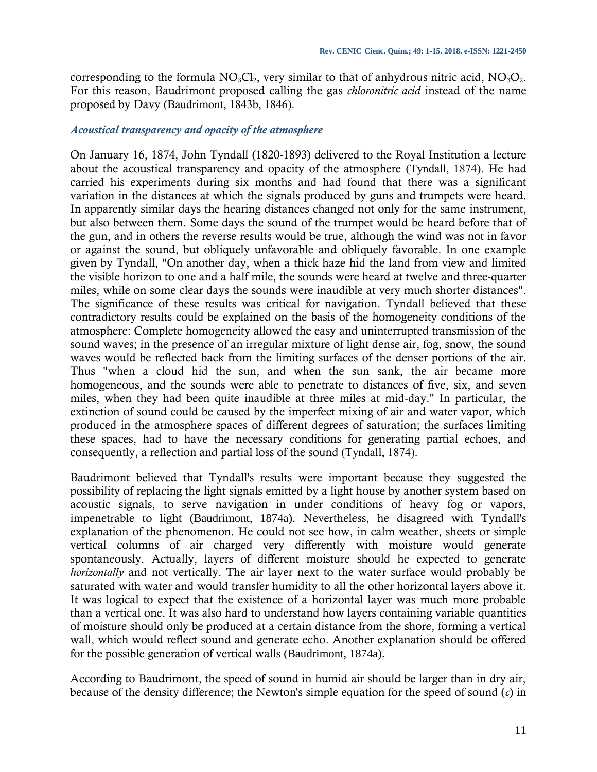corresponding to the formula  $NO<sub>3</sub>Cl<sub>2</sub>$ , very similar to that of anhydrous nitric acid,  $NO<sub>3</sub>O<sub>2</sub>$ . For this reason, Baudrimont proposed calling the gas *chloronitric acid* instead of the name proposed by Davy (Baudrimont, 1843b, 1846).

#### *Acoustical transparency and opacity of the atmosphere*

On January 16, 1874, John Tyndall (1820-1893) delivered to the Royal Institution a lecture about the acoustical transparency and opacity of the atmosphere (Tyndall, 1874). He had carried his experiments during six months and had found that there was a significant variation in the distances at which the signals produced by guns and trumpets were heard. In apparently similar days the hearing distances changed not only for the same instrument, but also between them. Some days the sound of the trumpet would be heard before that of the gun, and in others the reverse results would be true, although the wind was not in favor or against the sound, but obliquely unfavorable and obliquely favorable. In one example given by Tyndall, "On another day, when a thick haze hid the land from view and limited the visible horizon to one and a half mile, the sounds were heard at twelve and three-quarter miles, while on some clear days the sounds were inaudible at very much shorter distances". The significance of these results was critical for navigation. Tyndall believed that these contradictory results could be explained on the basis of the homogeneity conditions of the atmosphere: Complete homogeneity allowed the easy and uninterrupted transmission of the sound waves; in the presence of an irregular mixture of light dense air, fog, snow, the sound waves would be reflected back from the limiting surfaces of the denser portions of the air. Thus "when a cloud hid the sun, and when the sun sank, the air became more homogeneous, and the sounds were able to penetrate to distances of five, six, and seven miles, when they had been quite inaudible at three miles at mid-day." In particular, the extinction of sound could be caused by the imperfect mixing of air and water vapor, which produced in the atmosphere spaces of different degrees of saturation; the surfaces limiting these spaces, had to have the necessary conditions for generating partial echoes, and consequently, a reflection and partial loss of the sound (Tyndall, 1874).

Baudrimont believed that Tyndall's results were important because they suggested the possibility of replacing the light signals emitted by a light house by another system based on acoustic signals, to serve navigation in under conditions of heavy fog or vapors, impenetrable to light (Baudrimont, 1874a). Nevertheless, he disagreed with Tyndall's explanation of the phenomenon. He could not see how, in calm weather, sheets or simple vertical columns of air charged very differently with moisture would generate spontaneously. Actually, layers of different moisture should he expected to generate *horizontally* and not vertically. The air layer next to the water surface would probably be saturated with water and would transfer humidity to all the other horizontal layers above it. It was logical to expect that the existence of a horizontal layer was much more probable than a vertical one. It was also hard to understand how layers containing variable quantities of moisture should only be produced at a certain distance from the shore, forming a vertical wall, which would reflect sound and generate echo. Another explanation should be offered for the possible generation of vertical walls (Baudrimont, 1874a).

According to Baudrimont, the speed of sound in humid air should be larger than in dry air, because of the density difference; the Newton's simple equation for the speed of sound (*c*) in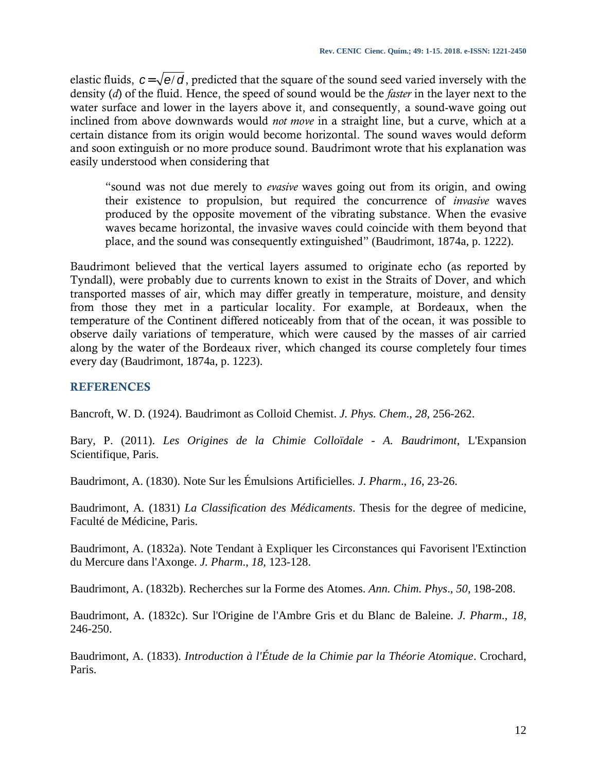elastic fluids,  $c = \sqrt{e/d}$ , predicted that the square of the sound seed varied inversely with the density (*d*) of the fluid. Hence, the speed of sound would be the *faster* in the layer next to the water surface and lower in the layers above it, and consequently, a sound-wave going out inclined from above downwards would *not move* in a straight line, but a curve, which at a certain distance from its origin would become horizontal. The sound waves would deform and soon extinguish or no more produce sound. Baudrimont wrote that his explanation was easily understood when considering that

"sound was not due merely to *evasive* waves going out from its origin, and owing their existence to propulsion, but required the concurrence of *invasive* waves produced by the opposite movement of the vibrating substance. When the evasive waves became horizontal, the invasive waves could coincide with them beyond that place, and the sound was consequently extinguished" (Baudrimont, 1874a, p. 1222).

Baudrimont believed that the vertical layers assumed to originate echo (as reported by Tyndall), were probably due to currents known to exist in the Straits of Dover, and which transported masses of air, which may differ greatly in temperature, moisture, and density from those they met in a particular locality. For example, at Bordeaux, when the temperature of the Continent differed noticeably from that of the ocean, it was possible to observe daily variations of temperature, which were caused by the masses of air carried along by the water of the Bordeaux river, which changed its course completely four times every day (Baudrimont, 1874a, p. 1223).

# **REFERENCES**

Bancroft, W. D. (1924). Baudrimont as Colloid Chemist. *J. Phys. Chem*., *28*, 256-262.

Bary, P. (2011). *Les Origines de la Chimie Colloïdale* - *A. Baudrimont*, L'Expansion Scientifique, Paris.

Baudrimont, A. (1830). Note Sur les Émulsions Artificielles. *J. Pharm*., *16*, 23-26.

Baudrimont, A*.* (1831) *La Classification des Médicaments*. Thesis for the degree of medicine, Faculté de Médicine, Paris.

Baudrimont, A. (1832a). Note Tendant à Expliquer les Circonstances qui Favorisent l'Extinction du Mercure dans l'Axonge. *J. Pharm*., *18*, 123-128.

Baudrimont, A. (1832b). Recherches sur la Forme des Atomes. *Ann. Chim. Phys*., *50*, 198-208.

Baudrimont, A. (1832c). Sur l'Origine de l'Ambre Gris et du Blanc de Baleine. *J. Pharm*., *18*, 246-250.

Baudrimont, A. (1833). *Introduction à l'Étude de la Chimie par la Théorie Atomique*. Crochard, Paris.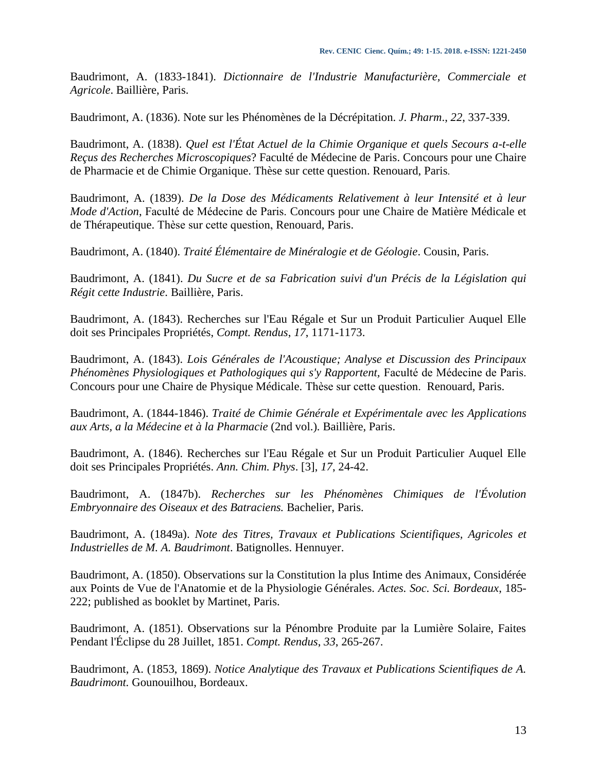Baudrimont, A. (1833-1841). *Dictionnaire de l'Industrie Manufacturière, Commerciale et Agricole*. Baillière, Paris.

Baudrimont, A. (1836). Note sur les Phénomènes de la Décrépitation. *J. Pharm*., *22*, 337-339.

Baudrimont, A. (1838). *Quel est l'État Actuel de la Chimie Organique et quels Secours a-t-elle Reçus des Recherches Microscopiques*? Faculté de Médecine de Paris. Concours pour une Chaire de Pharmacie et de Chimie Organique. Thèse sur cette question. Renouard, Paris.

Baudrimont, A. (1839). *De la Dose des Médicaments Relativement à leur Intensité et à leur Mode d'Action*, Faculté de Médecine de Paris. Concours pour une Chaire de Matière Médicale et de Thérapeutique. Thèse sur cette question, Renouard, Paris.

Baudrimont, A. (1840). *Traité Élémentaire de Minéralogie et de Géologie*. Cousin, Paris.

Baudrimont, A. (1841). *Du Sucre et de sa Fabrication suivi d'un Précis de la Législation qui Régit cette Industrie*. Baillière, Paris.

Baudrimont, A. (1843). Recherches sur l'Eau Régale et Sur un Produit Particulier Auquel Elle doit ses Principales Propriétés, *Compt. Rendus*, *17*, 1171-1173.

Baudrimont, A. (1843). *Lois Générales de l'Acoustique; Analyse et Discussion des Principaux Phénomènes Physiologiques et Pathologiques qui s'y Rapportent,* Faculté de Médecine de Paris. Concours pour une Chaire de Physique Médicale. Thèse sur cette question. Renouard, Paris.

Baudrimont, A. (1844-1846). *Traité de Chimie Générale et Expérimentale avec les Applications aux Arts, a la Médecine et à la Pharmacie* (2nd vol.)*.* Baillière, Paris.

Baudrimont, A. (1846). Recherches sur l'Eau Régale et Sur un Produit Particulier Auquel Elle doit ses Principales Propriétés. *Ann. Chim. Phys*. [3], *17*, 24-42.

Baudrimont, A. (1847b). *Recherches sur les Phénomènes Chimiques de l'Évolution Embryonnaire des Oiseaux et des Batraciens.* Bachelier, Paris.

Baudrimont, A. (1849a). *Note des Titres, Travaux et Publications Scientifiques, Agricoles et Industrielles de M. A. Baudrimont*. Batignolles. Hennuyer.

Baudrimont, A. (1850). Observations sur la Constitution la plus Intime des Animaux, Considérée aux Points de Vue de l'Anatomie et de la Physiologie Générales. *Actes. Soc. Sci. Bordeaux*, 185- 222; published as booklet by Martinet, Paris.

Baudrimont, A. (1851). Observations sur la Pénombre Produite par la Lumière Solaire, Faites Pendant l'Éclipse du 28 Juillet, 1851. *Compt. Rendus*, *33*, 265-267.

Baudrimont, A. (1853, 1869). *Notice Analytique des Travaux et Publications Scientifiques de A. Baudrimont.* Gounouilhou, Bordeaux.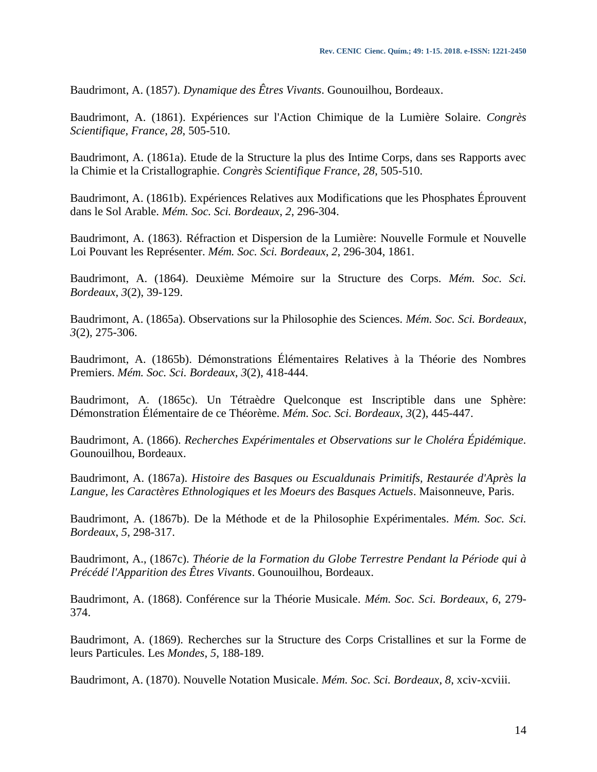Baudrimont, A. (1857). *Dynamique des Êtres Vivants*. Gounouilhou, Bordeaux.

Baudrimont, A. (1861). Expériences sur l'Action Chimique de la Lumière Solaire. *Congrès Scientifique, France*, *28*, 505-510.

Baudrimont, A. (1861a). Etude de la Structure la plus des Intime Corps, dans ses Rapports avec la Chimie et la Cristallographie. *Congrès Scientifique France*, *28*, 505-510.

Baudrimont, A. (1861b). Expériences Relatives aux Modifications que les Phosphates Éprouvent dans le Sol Arable. *Mém. Soc. Sci. Bordeaux*, *2*, 296-304.

Baudrimont, A. (1863). Réfraction et Dispersion de la Lumière: Nouvelle Formule et Nouvelle Loi Pouvant les Représenter. *Mém. Soc. Sci. Bordeaux*, *2*, 296-304, 1861.

Baudrimont, A. (1864). Deuxième Mémoire sur la Structure des Corps. *Mém. Soc. Sci. Bordeaux*, *3*(2), 39-129.

Baudrimont, A. (1865a). Observations sur la Philosophie des Sciences. *Mém. Soc. Sci. Bordeaux*, *3*(2), 275-306.

Baudrimont, A. (1865b). Démonstrations Élémentaires Relatives à la Théorie des Nombres Premiers. *Mém. Soc. Sci. Bordeaux*, *3*(2), 418-444.

Baudrimont, A. (1865c). Un Tétraèdre Quelconque est Inscriptible dans une Sphère: Démonstration Élémentaire de ce Théorème. *Mém. Soc. Sci. Bordeaux*, *3*(2), 445-447.

Baudrimont, A. (1866). *Recherches Expérimentales et Observations sur le Choléra Épidémique.* Gounouilhou, Bordeaux.

Baudrimont, A. (1867a). *Histoire des Basques ou Escualdunais Primitifs, Restaurée d'Après la Langue, les Caractères Ethnologiques et les Moeurs des Basques Actuels*. Maisonneuve, Paris.

Baudrimont, A. (1867b). De la Méthode et de la Philosophie Expérimentales. *Mém. Soc. Sci. Bordeaux*, *5*, 298-317.

Baudrimont, A., (1867c). *Théorie de la Formation du Globe Terrestre Pendant la Période qui à Précédé l'Apparition des Êtres Vivants*. Gounouilhou, Bordeaux.

Baudrimont, A. (1868). Conférence sur la Théorie Musicale. *Mém. Soc. Sci. Bordeaux*, *6*, 279- 374.

Baudrimont, A. (1869). Recherches sur la Structure des Corps Cristallines et sur la Forme de leurs Particules. Les *Mondes*, *5*, 188-189.

Baudrimont, A. (1870). Nouvelle Notation Musicale. *Mém. Soc. Sci. Bordeaux*, *8*, xciv-xcviii.